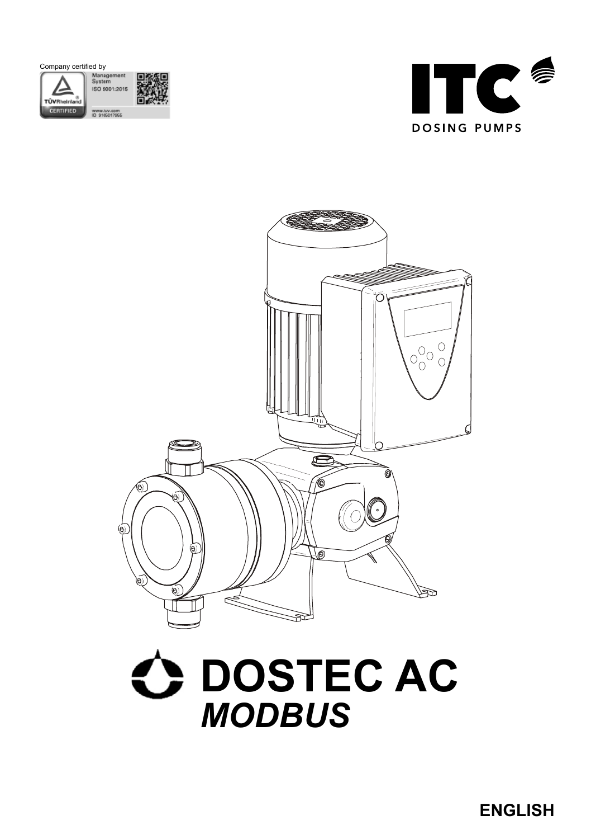





# **DOSTEC AC** *MODBUS*

**ENGLISH**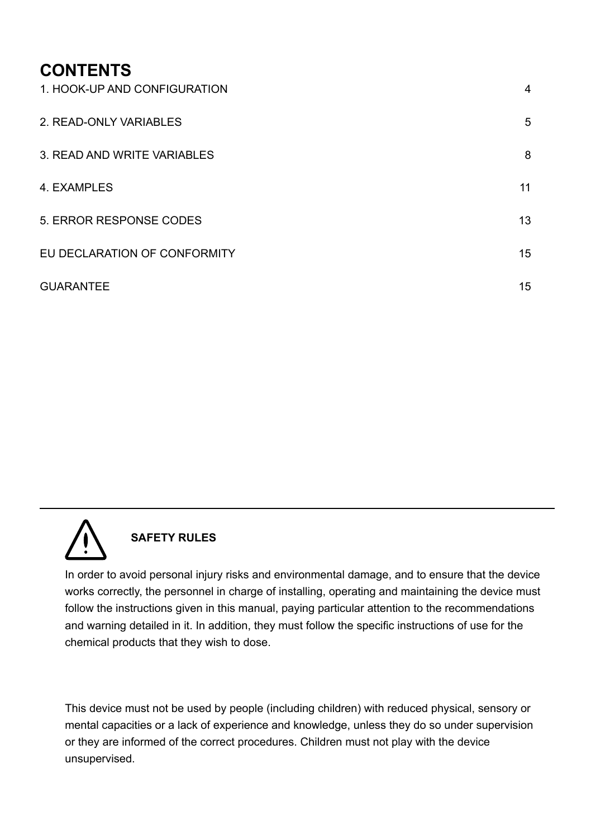# **CONTENTS**

| 1. HOOK-UP AND CONFIGURATION | 4  |
|------------------------------|----|
| 2. READ-ONLY VARIABLES       | 5  |
| 3. READ AND WRITE VARIABLES  | 8  |
| 4. EXAMPLES                  | 11 |
| 5. ERROR RESPONSE CODES      | 13 |
| EU DECLARATION OF CONFORMITY | 15 |
| <b>GUARANTEE</b>             | 15 |



### **SAFETY RULES**

In order to avoid personal injury risks and environmental damage, and to ensure that the device works correctly, the personnel in charge of installing, operating and maintaining the device must follow the instructions given in this manual, paying particular attention to the recommendations and warning detailed in it. In addition, they must follow the specific instructions of use for the chemical products that they wish to dose.

This device must not be used by people (including children) with reduced physical, sensory or mental capacities or a lack of experience and knowledge, unless they do so under supervision or they are informed of the correct procedures. Children must not play with the device unsupervised.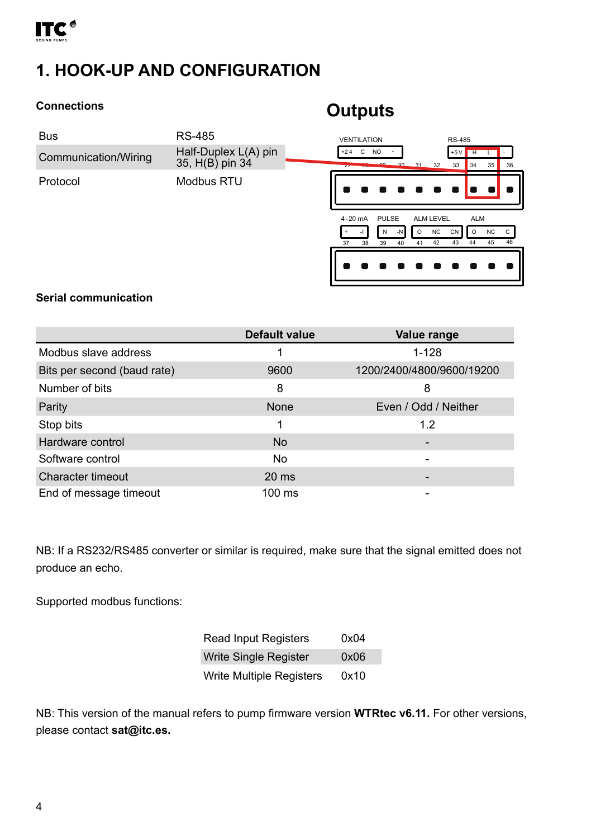<span id="page-3-0"></span>

# **1. HOOK-UP AND CONFIGURATION**

#### **Connections**

# **Outputs**



#### **Serial communication**

|                             | <b>Default value</b> | Value range               |
|-----------------------------|----------------------|---------------------------|
| Modbus slave address        |                      | 1-128                     |
| Bits per second (baud rate) | 9600                 | 1200/2400/4800/9600/19200 |
| Number of bits              | 8                    | 8                         |
| Parity                      | <b>None</b>          | Even / Odd / Neither      |
| Stop bits                   | 1                    | 1.2                       |
| Hardware control            | <b>No</b>            |                           |
| Software control            | No                   | $\overline{\phantom{0}}$  |
| Character timeout           | $20 \text{ ms}$      |                           |
| End of message timeout      | $100 \text{ ms}$     |                           |

NB: If a RS232/RS485 converter or similar is required, make sure that the signal emitted does not produce an echo.

Supported modbus functions:

| <b>Read Input Registers</b>     | 0x04 |
|---------------------------------|------|
| Write Single Register           | 0x06 |
| <b>Write Multiple Registers</b> | 0x10 |

NB: This version of the manual refers to pump firmware version **WTRtec v6.11.** For other versions, please contact **sat@itc.es.**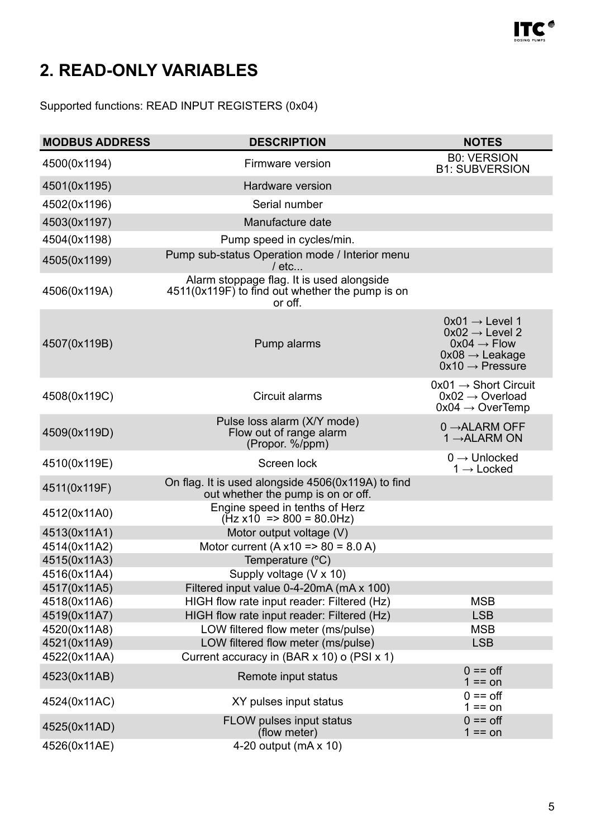# <span id="page-4-0"></span>**2. READ-ONLY VARIABLES**

Supported functions: READ INPUT REGISTERS (0x04)

| <b>MODBUS ADDRESS</b>        | <b>DESCRIPTION</b>                                                                                     | <b>NOTES</b>                                                                                                                                     |
|------------------------------|--------------------------------------------------------------------------------------------------------|--------------------------------------------------------------------------------------------------------------------------------------------------|
| 4500(0x1194)                 | Firmware version                                                                                       | <b>B0: VERSION</b><br><b>B1: SUBVERSION</b>                                                                                                      |
| 4501(0x1195)                 | Hardware version                                                                                       |                                                                                                                                                  |
| 4502(0x1196)                 | Serial number                                                                                          |                                                                                                                                                  |
| 4503(0x1197)                 | Manufacture date                                                                                       |                                                                                                                                                  |
| 4504(0x1198)                 | Pump speed in cycles/min.                                                                              |                                                                                                                                                  |
| 4505(0x1199)                 | Pump sub-status Operation mode / Interior menu<br>$/$ etc                                              |                                                                                                                                                  |
| 4506(0x119A)                 | Alarm stoppage flag. It is used alongside<br>4511(0x119F) to find out whether the pump is on<br>or off |                                                                                                                                                  |
| 4507(0x119B)                 | Pump alarms                                                                                            | $0x01 \rightarrow$ Level 1<br>$0x02 \rightarrow$ Level 2<br>$0x04 \rightarrow$ Flow<br>$0x08 \rightarrow$ Leakage<br>$0x10 \rightarrow$ Pressure |
| 4508(0x119C)                 | Circuit alarms                                                                                         | $0x01 \rightarrow$ Short Circuit<br>$0x02 \rightarrow$ Overload<br>$0x04 \rightarrow OverTemp$                                                   |
| 4509(0x119D)                 | Pulse loss alarm (X/Y mode)<br>Flow out of range alarm<br>(Propor. %/ppm)                              | $0 \rightarrow$ ALARM OFF<br>1 $\rightarrow$ ALARM ON                                                                                            |
| 4510(0x119E)                 | Screen lock                                                                                            | $0 \rightarrow$ Unlocked<br>$1 \rightarrow$ Locked                                                                                               |
| 4511(0x119F)                 | On flag. It is used alongside 4506(0x119A) to find<br>out whether the pump is on or off.               |                                                                                                                                                  |
| 4512(0x11A0)                 | Engine speed in tenths of Herz<br>$(Hz x10 \equiv 800 = 80.0 Hz)$                                      |                                                                                                                                                  |
| 4513(0x11A1)                 | Motor output voltage (V)                                                                               |                                                                                                                                                  |
| 4514(0x11A2)                 | Motor current $(A \times 10 \Rightarrow 80 = 8.0 \text{ A})$                                           |                                                                                                                                                  |
| 4515(0x11A3)                 | Temperature (°C)                                                                                       |                                                                                                                                                  |
| 4516(0x11A4)<br>4517(0x11A5) | Supply voltage (V x 10)<br>Filtered input value 0-4-20mA (mA x 100)                                    |                                                                                                                                                  |
| 4518(0x11A6)                 | HIGH flow rate input reader: Filtered (Hz)                                                             | MSB                                                                                                                                              |
| 4519(0x11A7)                 | HIGH flow rate input reader: Filtered (Hz)                                                             | LSB.                                                                                                                                             |
| 4520(0x11A8)                 | LOW filtered flow meter (ms/pulse)                                                                     | <b>MSB</b>                                                                                                                                       |
| 4521(0x11A9)                 | LOW filtered flow meter (ms/pulse)                                                                     | <b>LSB</b>                                                                                                                                       |
| 4522(0x11AA)                 | Current accuracy in (BAR x 10) o (PSI x 1)                                                             |                                                                                                                                                  |
| 4523(0x11AB)                 | Remote input status                                                                                    | $0 ==$ off<br>$1 == on$                                                                                                                          |
| 4524(0x11AC)                 | XY pulses input status                                                                                 | $0 ==$ off<br>$1 == on$                                                                                                                          |
| 4525(0x11AD)                 | FLOW pulses input status<br>(flow meter)                                                               | $0 ==$ off<br>$1 == on$                                                                                                                          |
| 4526(0x11AE)                 | 4-20 output (mA x 10)                                                                                  |                                                                                                                                                  |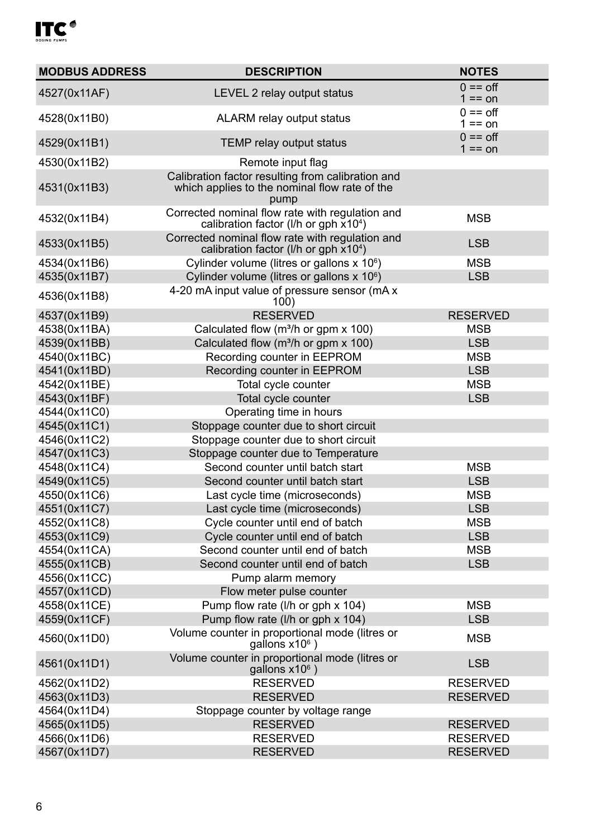

| <b>MODBUS ADDRESS</b> | <b>DESCRIPTION</b>                                                                                            | <b>NOTES</b>            |
|-----------------------|---------------------------------------------------------------------------------------------------------------|-------------------------|
| 4527(0x11AF)          | LEVEL 2 relay output status                                                                                   | $0 ==$ off<br>$1 == on$ |
| 4528(0x11B0)          | ALARM relay output status                                                                                     | $0 ==$ off<br>$1 == on$ |
| 4529(0x11B1)          | TEMP relay output status                                                                                      | $0 ==$ off<br>$1 == on$ |
| 4530(0x11B2)          | Remote input flag                                                                                             |                         |
| 4531(0x11B3)          | Calibration factor resulting from calibration and<br>which applies to the nominal flow rate of the<br>pump    |                         |
| 4532(0x11B4)          | Corrected nominal flow rate with regulation and<br>calibration factor (I/h or gph $\bar{x}$ 10 <sup>4</sup> ) | <b>MSB</b>              |
| 4533(0x11B5)          | Corrected nominal flow rate with regulation and<br>calibration factor (I/h or gph x104)                       | <b>LSB</b>              |
| 4534(0x11B6)          | Cylinder volume (litres or gallons x 10 <sup>6</sup> )                                                        | <b>MSB</b>              |
| 4535(0x11B7)          | Cylinder volume (litres or gallons x 10 <sup>6</sup> )                                                        | <b>LSB</b>              |
| 4536(0x11B8)          | 4-20 mA input value of pressure sensor (mA x<br>100)                                                          |                         |
| 4537(0x11B9)          | <b>RESERVED</b>                                                                                               | <b>RESERVED</b>         |
| 4538(0x11BA)          | Calculated flow (m <sup>3</sup> /h or gpm x 100)                                                              | <b>MSB</b>              |
| 4539(0x11BB)          | Calculated flow (m <sup>3</sup> /h or gpm x 100)                                                              | <b>LSB</b>              |
| 4540(0x11BC)          | Recording counter in EEPROM                                                                                   | <b>MSB</b>              |
| 4541(0x11BD)          | Recording counter in EEPROM                                                                                   | <b>LSB</b>              |
| 4542(0x11BE)          | Total cycle counter                                                                                           | <b>MSB</b>              |
| 4543(0x11BF)          | Total cycle counter                                                                                           | <b>LSB</b>              |
| 4544(0x11C0)          | Operating time in hours                                                                                       |                         |
| 4545(0x11C1)          | Stoppage counter due to short circuit                                                                         |                         |
| 4546(0x11C2)          | Stoppage counter due to short circuit                                                                         |                         |
| 4547(0x11C3)          | Stoppage counter due to Temperature                                                                           |                         |
| 4548(0x11C4)          | Second counter until batch start                                                                              | <b>MSB</b>              |
| 4549(0x11C5)          | Second counter until batch start                                                                              | <b>LSB</b>              |
| 4550(0x11C6)          | Last cycle time (microseconds)                                                                                | <b>MSB</b>              |
| 4551(0x11C7)          | Last cycle time (microseconds)                                                                                | <b>LSB</b>              |
| 4552(0x11C8)          | Cycle counter until end of batch                                                                              | <b>MSB</b>              |
| 4553(0x11C9)          | Cycle counter until end of batch                                                                              | <b>LSB</b>              |
| 4554(0x11CA)          | Second counter until end of batch                                                                             | <b>MSB</b>              |
| 4555(0x11CB)          | Second counter until end of batch                                                                             | <b>LSB</b>              |
| 4556(0x11CC)          | Pump alarm memory                                                                                             |                         |
| 4557(0x11CD)          | Flow meter pulse counter                                                                                      |                         |
| 4558(0x11CE)          | Pump flow rate (I/h or gph x 104)                                                                             | <b>MSB</b>              |
| 4559(0x11CF)          | Pump flow rate (I/h or gph x 104)                                                                             | <b>LSB</b>              |
| 4560(0x11D0)          | Volume counter in proportional mode (litres or<br>gallons $x10^6$ )                                           | <b>MSB</b>              |
| 4561(0x11D1)          | Volume counter in proportional mode (litres or<br>gallons $x106$ )                                            | <b>LSB</b>              |
| 4562(0x11D2)          | <b>RESERVED</b>                                                                                               | <b>RESERVED</b>         |
| 4563(0x11D3)          | <b>RESERVED</b>                                                                                               | <b>RESERVED</b>         |
| 4564(0x11D4)          | Stoppage counter by voltage range                                                                             |                         |
| 4565(0x11D5)          | <b>RESERVED</b>                                                                                               | <b>RESERVED</b>         |
| 4566(0x11D6)          | <b>RESERVED</b>                                                                                               | <b>RESERVED</b>         |
| 4567(0x11D7)          | <b>RESERVED</b>                                                                                               | <b>RESERVED</b>         |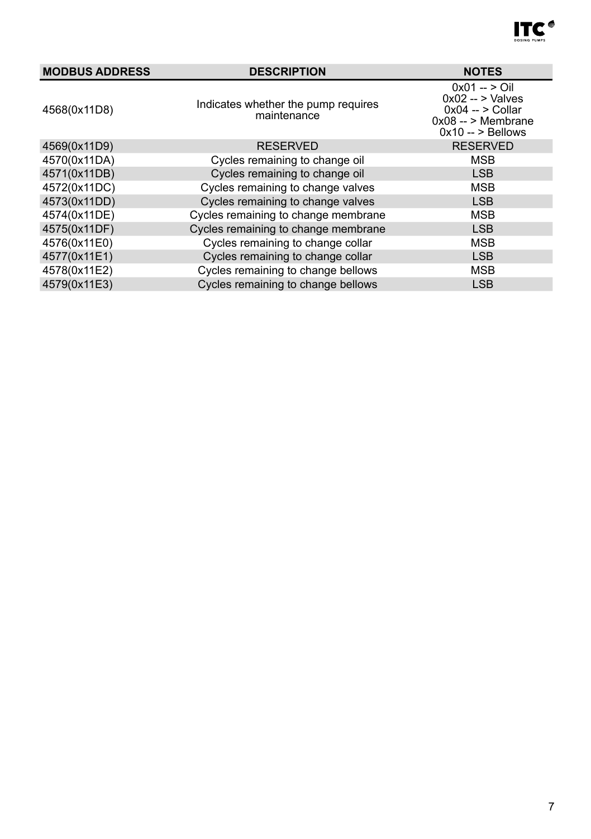

| <b>MODBUS ADDRESS</b> | <b>DESCRIPTION</b>                                 | <b>NOTES</b>                                                                                        |
|-----------------------|----------------------------------------------------|-----------------------------------------------------------------------------------------------------|
| 4568(0x11D8)          | Indicates whether the pump requires<br>maintenance | $0x01 - 50i$<br>$0x02 - y$ Valves<br>$0x04 - >$ Collar<br>$0x08 - >$ Membrane<br>$0x10 - 5$ Bellows |
| 4569(0x11D9)          | <b>RESERVED</b>                                    | <b>RESERVED</b>                                                                                     |
| 4570(0x11DA)          | Cycles remaining to change oil                     | <b>MSB</b>                                                                                          |
| 4571(0x11DB)          | Cycles remaining to change oil                     | <b>LSB</b>                                                                                          |
| 4572(0x11DC)          | Cycles remaining to change valves                  | <b>MSB</b>                                                                                          |
| 4573(0x11DD)          | Cycles remaining to change valves                  | <b>LSB</b>                                                                                          |
| 4574(0x11DE)          | Cycles remaining to change membrane                | <b>MSB</b>                                                                                          |
| 4575(0x11DF)          | Cycles remaining to change membrane                | <b>LSB</b>                                                                                          |
| 4576(0x11E0)          | Cycles remaining to change collar                  | <b>MSB</b>                                                                                          |
| 4577(0x11E1)          | Cycles remaining to change collar                  | LSB                                                                                                 |
| 4578(0x11E2)          | Cycles remaining to change bellows                 | <b>MSB</b>                                                                                          |
| 4579(0x11E3)          | Cycles remaining to change bellows                 | <b>LSB</b>                                                                                          |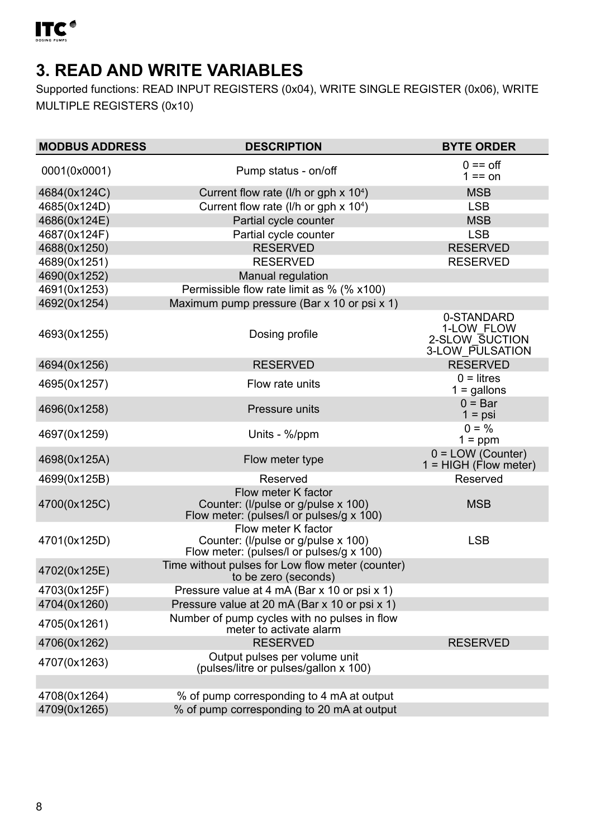# <span id="page-7-0"></span>**3. READ AND WRITE VARIABLES**

Supported functions: READ INPUT REGISTERS (0x04), WRITE SINGLE REGISTER (0x06), WRITE MULTIPLE REGISTERS (0x10)

| <b>MODBUS ADDRESS</b> | <b>DESCRIPTION</b>                                                                                     | <b>BYTE ORDER</b>                                             |
|-----------------------|--------------------------------------------------------------------------------------------------------|---------------------------------------------------------------|
| 0001(0x0001)          | Pump status - on/off                                                                                   | $0 ==$ off<br>$1 == on$                                       |
| 4684(0x124C)          | Current flow rate (I/h or gph $x$ 10 <sup>4</sup> )                                                    | MSB                                                           |
| 4685(0x124D)          | Current flow rate (I/h or gph x 104)                                                                   | <b>LSB</b>                                                    |
| 4686(0x124E)          | Partial cycle counter                                                                                  | <b>MSB</b>                                                    |
| 4687(0x124F)          | Partial cycle counter                                                                                  | <b>LSB</b>                                                    |
| 4688(0x1250)          | <b>RESERVED</b>                                                                                        | <b>RESERVED</b>                                               |
| 4689(0x1251)          | <b>RESERVED</b>                                                                                        | <b>RESERVED</b>                                               |
| 4690(0x1252)          | Manual regulation                                                                                      |                                                               |
| 4691(0x1253)          | Permissible flow rate limit as % (% x100)                                                              |                                                               |
| 4692(0x1254)          | Maximum pump pressure (Bar x 10 or psi x 1)                                                            |                                                               |
| 4693(0x1255)          | Dosing profile                                                                                         | 0-STANDARD<br>1-LOW FLOW<br>2-SLOW_SUCTION<br>3-LOW PULSATION |
| 4694(0x1256)          | <b>RESERVED</b>                                                                                        | <b>RESERVED</b>                                               |
| 4695(0x1257)          | Flow rate units                                                                                        | $0 =$ litres<br>$1 =$ gallons                                 |
| 4696(0x1258)          | Pressure units                                                                                         | $0 = Bar$<br>$1 = psi$                                        |
| 4697(0x1259)          | Units - %/ppm                                                                                          | $0 = \%$<br>$1 = ppm$                                         |
| 4698(0x125A)          | Flow meter type                                                                                        | $0 =$ LOW (Counter)<br>$1 = HIGH$ (Flow meter)                |
| 4699(0x125B)          | Reserved                                                                                               | Reserved                                                      |
| 4700(0x125C)          | Flow meter K factor<br>Counter: (I/pulse or g/pulse x 100)<br>Flow meter: (pulses/l or pulses/g x 100) | <b>MSB</b>                                                    |
| 4701(0x125D)          | Flow meter K factor<br>Counter: (I/pulse or g/pulse x 100)<br>Flow meter: (pulses/l or pulses/g x 100) | LSB.                                                          |
| 4702(0x125E)          | Time without pulses for Low flow meter (counter)<br>to be zero (seconds)                               |                                                               |
| 4703(0x125F)          | Pressure value at 4 mA (Bar x 10 or psi x 1)                                                           |                                                               |
| 4704(0x1260)          | Pressure value at 20 mA (Bar x 10 or psi x 1)                                                          |                                                               |
| 4705(0x1261)          | Number of pump cycles with no pulses in flow<br>meter to activate alarm                                |                                                               |
| 4706(0x1262)          | <b>RESERVED</b>                                                                                        | <b>RESERVED</b>                                               |
| 4707(0x1263)          | Output pulses per volume unit<br>(pulses/litre or pulses/gallon x 100)                                 |                                                               |
|                       |                                                                                                        |                                                               |
| 4708(0x1264)          | % of pump corresponding to 4 mA at output                                                              |                                                               |
| 4709(0x1265)          | % of pump corresponding to 20 mA at output                                                             |                                                               |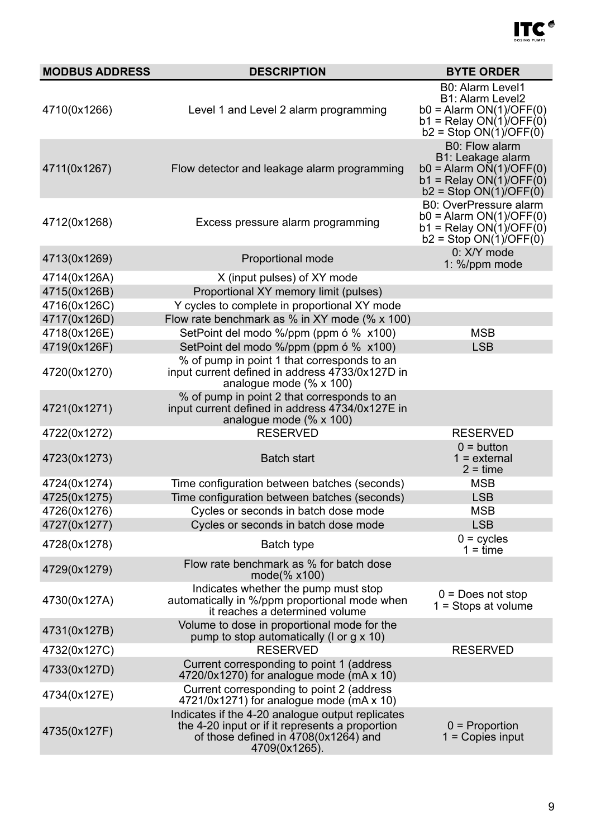

| <b>MODBUS ADDRESS</b> | <b>DESCRIPTION</b>                                                                                                                                           | <b>BYTE ORDER</b>                                                                                                                |
|-----------------------|--------------------------------------------------------------------------------------------------------------------------------------------------------------|----------------------------------------------------------------------------------------------------------------------------------|
| 4710(0x1266)          | Level 1 and Level 2 alarm programming                                                                                                                        | B0: Alarm Level1<br>B1: Alarm Level2<br>$b0 =$ Alarm ON(1)/OFF(0)<br>$b1 =$ Relay ON(1)/OFF(0)<br>$b2 =$ Stop ON(1)/OFF(0)       |
| 4711(0x1267)          | Flow detector and leakage alarm programming                                                                                                                  | <b>B0: Flow alarm</b><br>B1: Leakage alarm<br>$b0 =$ Alarm ON(1)/OFF(0)<br>$b1 =$ Relay ON(1)/OFF(0)<br>$b2 =$ Stop ON(1)/OFF(0) |
| 4712(0x1268)          | Excess pressure alarm programming                                                                                                                            | B0: OverPressure alarm<br>b0 = Alarm ON(1)/OFF(0)<br>b1 = Relay ON(1)/OFF(0)<br>$b2 =$ Stop ON(1)/OFF(0)                         |
| 4713(0x1269)          | Proportional mode                                                                                                                                            | 0: X/Y mode<br>1: $\frac{9}{2}$ ppm mode                                                                                         |
| 4714(0x126A)          | X (input pulses) of XY mode                                                                                                                                  |                                                                                                                                  |
| 4715(0x126B)          | Proportional XY memory limit (pulses)                                                                                                                        |                                                                                                                                  |
| 4716(0x126C)          | Y cycles to complete in proportional XY mode                                                                                                                 |                                                                                                                                  |
| 4717(0x126D)          | Flow rate benchmark as % in XY mode (% x 100)                                                                                                                |                                                                                                                                  |
| 4718(0x126E)          | SetPoint del modo %/ppm (ppm ó % x100)                                                                                                                       | MSB                                                                                                                              |
| 4719(0x126F)          | SetPoint del modo %/ppm (ppm ó % x100)                                                                                                                       | <b>LSB</b>                                                                                                                       |
| 4720(0x1270)          | % of pump in point 1 that corresponds to an<br>input current defined in address 4733/0x127D in<br>analogue mode $(\% \times 100)$                            |                                                                                                                                  |
| 4721(0x1271)          | % of pump in point 2 that corresponds to an<br>input current defined in address 4734/0x127E in<br>analogue mode $(\% \times 100)$                            |                                                                                                                                  |
| 4722(0x1272)          | <b>RESERVED</b>                                                                                                                                              | <b>RESERVED</b>                                                                                                                  |
| 4723(0x1273)          | <b>Batch start</b>                                                                                                                                           | $0 =$ button<br>$1 =$ external<br>$2 = time$                                                                                     |
| 4724(0x1274)          | Time configuration between batches (seconds)                                                                                                                 | <b>MSB</b>                                                                                                                       |
| 4725(0x1275)          | Time configuration between batches (seconds)                                                                                                                 | <b>LSB</b>                                                                                                                       |
| 4726(0x1276)          | Cycles or seconds in batch dose mode                                                                                                                         | <b>MSB</b>                                                                                                                       |
| 4727(0x1277)          | Cycles or seconds in batch dose mode                                                                                                                         | I SB                                                                                                                             |
| 4728(0x1278)          | Batch type                                                                                                                                                   | $0 =$ cycles<br>$1 = \text{time}$                                                                                                |
| 4729(0x1279)          | Flow rate benchmark as % for batch dose<br>mode(% x100)                                                                                                      |                                                                                                                                  |
| 4730(0x127A)          | Indicates whether the pump must stop<br>automatically in %/ppm proportional mode when<br>it reaches a determined volume                                      | $0 = Does not stop$<br>$1 =$ Stops at volume                                                                                     |
| 4731(0x127B)          | Volume to dose in proportional mode for the<br>pump to stop automatically (I or g x 10)                                                                      |                                                                                                                                  |
| 4732(0x127C)          | <b>RESERVED</b>                                                                                                                                              | <b>RESERVED</b>                                                                                                                  |
| 4733(0x127D)          | Current corresponding to point 1 (address<br>$4720/0x1270$ ) for analogue mode (mA x 10)                                                                     |                                                                                                                                  |
| 4734(0x127E)          | Current corresponding to point 2 (address<br>4721/0x1271) for analogue mode (mA x 10)                                                                        |                                                                                                                                  |
| 4735(0x127F)          | Indicates if the 4-20 analogue output replicates<br>the 4-20 input or if it represents a proportion<br>of those defined in 4708(0x1264) and<br>4709(0x1265). | $0 =$ Proportion<br>$1 =$ Copies input                                                                                           |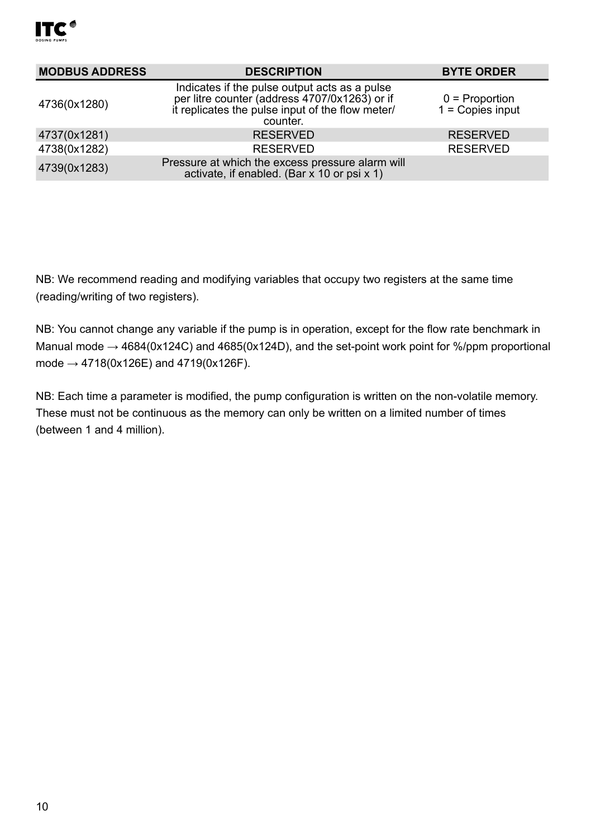

| <b>MODBUS ADDRESS</b>                                                                                           | <b>DESCRIPTION</b>                                                                                                                                             | <b>BYTE ORDER</b>                    |
|-----------------------------------------------------------------------------------------------------------------|----------------------------------------------------------------------------------------------------------------------------------------------------------------|--------------------------------------|
| 4736(0x1280)                                                                                                    | Indicates if the pulse output acts as a pulse<br>per litre counter (address 4707/0x1263) or if<br>it replicates the pulse input of the flow meter/<br>counter. | $0 =$ Proportion<br>1 = Copies input |
| 4737(0x1281)                                                                                                    | <b>RESERVED</b>                                                                                                                                                | <b>RESERVED</b>                      |
| 4738(0x1282)                                                                                                    | <b>RESERVED</b>                                                                                                                                                | <b>RESERVED</b>                      |
| Pressure at which the excess pressure alarm will<br>4739(0x1283)<br>activate, if enabled. (Bar x 10 or psi x 1) |                                                                                                                                                                |                                      |

NB: We recommend reading and modifying variables that occupy two registers at the same time (reading/writing of two registers).

NB: You cannot change any variable if the pump is in operation, except for the flow rate benchmark in Manual mode → 4684(0x124C) and 4685(0x124D), and the set-point work point for %/ppm proportional mode  $\rightarrow$  4718(0x126E) and 4719(0x126F).

NB: Each time a parameter is modified, the pump configuration is written on the non-volatile memory. These must not be continuous as the memory can only be written on a limited number of times (between 1 and 4 million).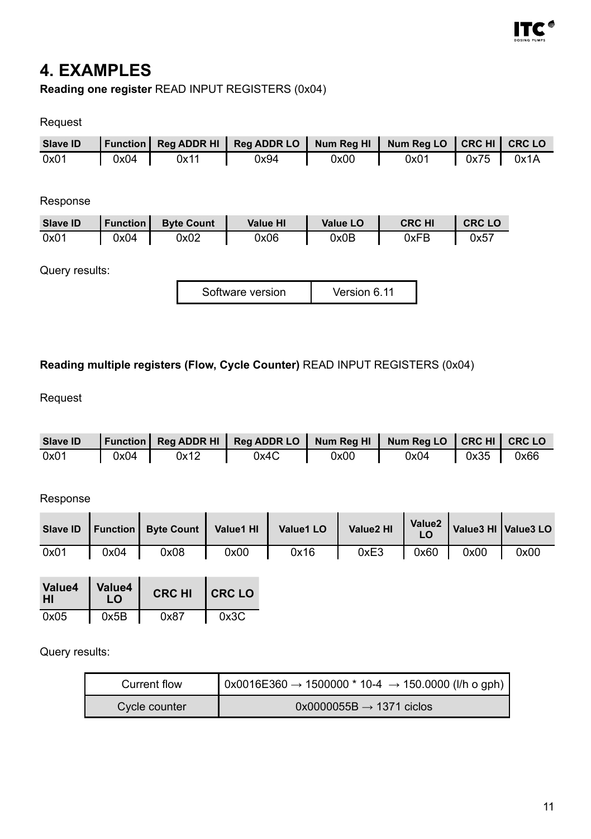

## <span id="page-10-0"></span>**4. EXAMPLES**

**Reading one register** READ INPUT REGISTERS (0x04)

#### Request

|      |                                 | Slave ID Function Reg ADDR HI Reg ADDR LO Num Reg HI Num Reg LO CRC HI CRC LO |                                                                                                                                     |  |
|------|---------------------------------|-------------------------------------------------------------------------------|-------------------------------------------------------------------------------------------------------------------------------------|--|
| 0x01 | $0 \times 04$ $0 \times 11$ $1$ | 0x94                                                                          | $\begin{bmatrix} 0 \times 0 & 1 \\ 0 \times 0 & 1 \end{bmatrix}$ $\begin{bmatrix} 0 \times 75 & 0 \\ 0 \times 75 & 0 \end{bmatrix}$ |  |

#### Response

| Slave ID | <b>Function I.</b> | <b>Byte Count</b> | Value HI | <b>Value LO</b> | <b>CRC HI</b> | <b>CRC LO</b> |
|----------|--------------------|-------------------|----------|-----------------|---------------|---------------|
| 0x01     | 0x04               | 0x02              | 0x06     | 0x0B            | 0xFB          | 0x57          |

Query results:

| Software version | Version 6.11 |  |
|------------------|--------------|--|
|                  |              |  |

#### **Reading multiple registers (Flow, Cycle Counter)** READ INPUT REGISTERS (0x04)

Request

| Slave ID |      |      | Function   Reg ADDR HI   Reg ADDR LO   Num Reg HI   Num Reg LO   CRC HI   CRC LO |      |      |                           |  |
|----------|------|------|----------------------------------------------------------------------------------|------|------|---------------------------|--|
| 0x01     | 0x04 | 0x12 | 0x4C                                                                             | 0x00 | 0x04 | $\vert$ 0x35 $\vert$ 0x66 |  |

#### Response

|      |      | Slave ID   Function   Byte Count | Value1 HI | Value1 LO | Value2 HI |      |      | Value2   Value3 HI   Value3 LO |
|------|------|----------------------------------|-----------|-----------|-----------|------|------|--------------------------------|
| 0x01 | 0x04 | 0x08                             | 0x00      | 0x16      | 0xE3      | 0x60 | 0x00 | 0x00                           |

| Value4<br>HI | Value4<br>LO. | <b>CRC HI</b> | I CRC LO |
|--------------|---------------|---------------|----------|
| 0x05         | 0x5B          | 0x87          | 0x3C     |

Query results:

| Current flow  | $\vert$ 0x0016E360 $\rightarrow$ 1500000 * 10-4 $\rightarrow$ 150.0000 (I/h o gph) |
|---------------|------------------------------------------------------------------------------------|
| Cycle counter | $0x0000055B \rightarrow 1371$ ciclos                                               |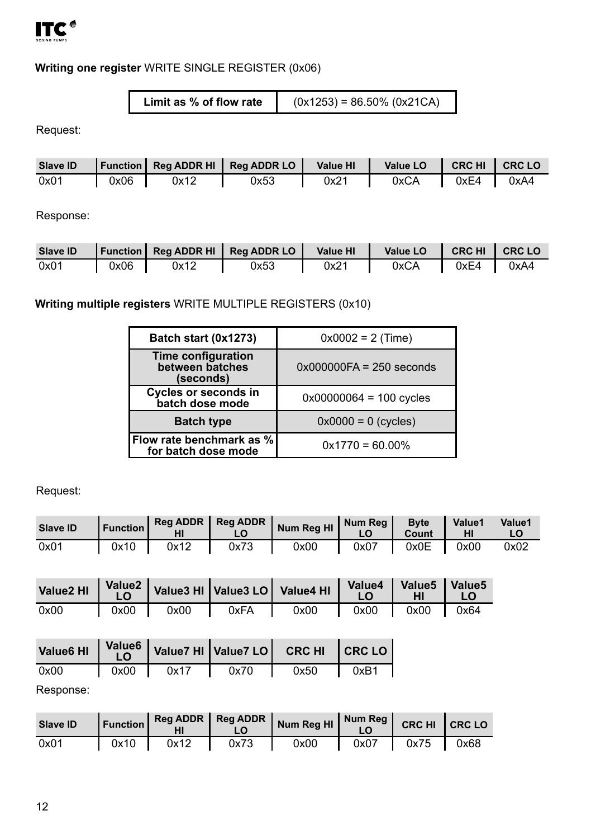

#### **Writing one register** WRITE SINGLE REGISTER (0x06)

|  | <b>Limit as % of flow rate</b> $(0x1253) = 86.50\% (0x21CA)$ |
|--|--------------------------------------------------------------|
|--|--------------------------------------------------------------|

Request:

|      |      |      | Slave ID   Function   Reg ADDR HI   Reg ADDR LO   Value HI |      | Value LO   CRC HI   CRC LO |      |      |
|------|------|------|------------------------------------------------------------|------|----------------------------|------|------|
| 0x01 | 0x06 | 0x12 | 0x53                                                       | 0x21 | 0xCA                       | 0xE4 | 0xA4 |

Response:

|      |      |      | Slave ID Function   Reg ADDR HI   Reg ADDR LO   Value HI |      | Value LO   CRC HI CRC LO |           |  |
|------|------|------|----------------------------------------------------------|------|--------------------------|-----------|--|
| 0x01 | 0x06 | 0x12 | 0x53                                                     | 0x21 | 0xCA                     | 0xE4 OxA4 |  |

#### **Writing multiple registers** WRITE MULTIPLE REGISTERS (0x10)

| Batch start (0x1273)                                      | $0x0002 = 2$ (Time)        |
|-----------------------------------------------------------|----------------------------|
| <b>Time configuration</b><br>between batches<br>(seconds) | $0x000000FA = 250$ seconds |
| Cycles or seconds in<br>batch dose mode                   | $0x00000064 = 100$ cycles  |
| <b>Batch type</b>                                         | $0x0000 = 0$ (cycles)      |
| <b>Flow rate benchmark as %</b><br>for batch dose mode    | $0x1770 = 60.00\%$         |

Request:

| Slave ID | 'Function |      |      | $\left[\begin{array}{c c}\n\text{Reg ADDR} & \text{Reg ADDR} \\ \text{Num Reg HI}\n\end{array}\right]$ |      | <b>Byte</b><br>Count | Value1 | Value1<br>LO |
|----------|-----------|------|------|--------------------------------------------------------------------------------------------------------|------|----------------------|--------|--------------|
| 0x01     | 0x10      | 0x12 | 0x73 | 0x00                                                                                                   | 0x07 | 0x0E                 | 0x00   | 0x02         |

| Value2 HI | Value <sub>2</sub><br>0 ו |      | Value3 HI Value3 LO Value4 HI |      | Value4<br>LO | Value5 Value5 | LO   |
|-----------|---------------------------|------|-------------------------------|------|--------------|---------------|------|
| 0x00      | 0x00                      | 0x00 | 0xFA                          | 0x00 | 0x00         | 0x00          | 0x64 |

| Value6 HI |      |      |      | Value6   Value7 HI   Value7 LO   CRC HI   CRC LO |      |
|-----------|------|------|------|--------------------------------------------------|------|
| 0x00      | 0x00 | 0x17 | 0x70 | 0x50                                             | 0xB1 |

Response:

| <b>Slave ID</b> |      |      |      | Function   Reg ADDR   Reg ADDR   Num Reg HI   Num Reg   CRC HI   CRC LO |      |      |      |
|-----------------|------|------|------|-------------------------------------------------------------------------|------|------|------|
| 0x01            | 0x10 | 0x12 | 0x73 | 0x00                                                                    | 0x07 | 0x75 | 0x68 |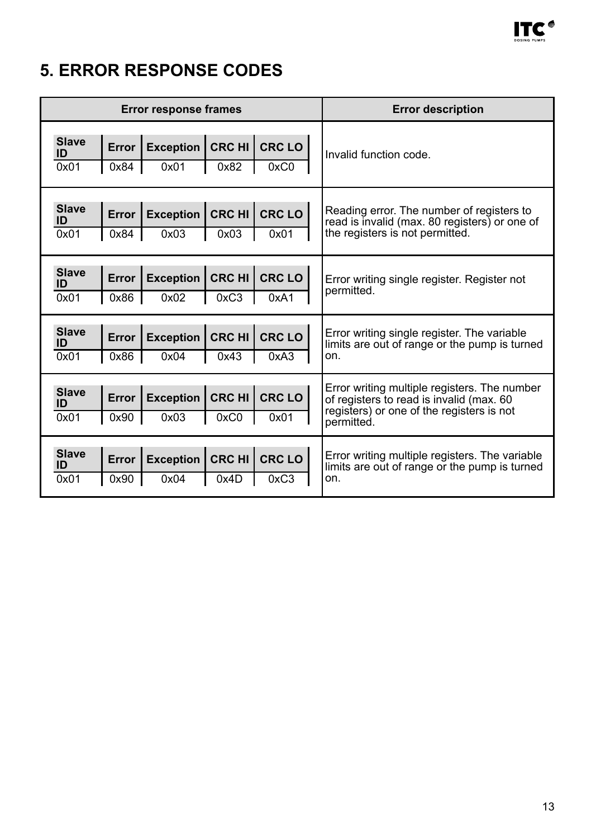

# <span id="page-12-0"></span>**5. ERROR RESPONSE CODES**

| Error response frames      |                 |                          |                       |                       | <b>Error description</b>                                                                                                                            |
|----------------------------|-----------------|--------------------------|-----------------------|-----------------------|-----------------------------------------------------------------------------------------------------------------------------------------------------|
| <b>Slave</b><br>ID<br>0x01 | Error  <br>0x84 | <b>Exception</b><br>0x01 | CRC HI<br>0x82        | <b>CRC LO</b><br>0xC0 | Invalid function code.                                                                                                                              |
| <b>Slave</b><br>ID<br>0x01 | Error I<br>0x84 | <b>Exception</b><br>0x03 | <b>CRC HI</b><br>0x03 | CRC LO<br>0x01        | Reading error. The number of registers to<br>read is invalid (max. 80 registers) or one of<br>the registers is not permitted.                       |
| <b>Slave</b><br>ID<br>0x01 | Error<br>0x86   | <b>Exception</b><br>0x02 | <b>CRC HI</b><br>0xC3 | CRC LO<br>0xA1        | Error writing single register. Register not<br>permitted.                                                                                           |
| <b>Slave</b><br>ID<br>0x01 | Error<br>0x86   | <b>Exception</b><br>0x04 | <b>CRC HI</b><br>0x43 | CRC LO<br>0xA3        | Error writing single register. The variable<br>limits are out of range or the pump is turned<br>on.                                                 |
| <b>Slave</b><br>ID<br>0x01 | Error I<br>0x90 | <b>Exception</b><br>0x03 | <b>CRC HI</b><br>0xC0 | CRC LO<br>0x01        | Error writing multiple registers. The number<br>of registers to read is invalid (max. 60<br>registers) or one of the registers is not<br>permitted. |
| <b>Slave</b><br>ID<br>0x01 | Error I<br>0x90 | <b>Exception</b><br>0x04 | <b>CRC HI</b><br>0x4D | CRC LO<br>0xC3        | Error writing multiple registers. The variable<br>limits are out of range or the pump is turned<br>on.                                              |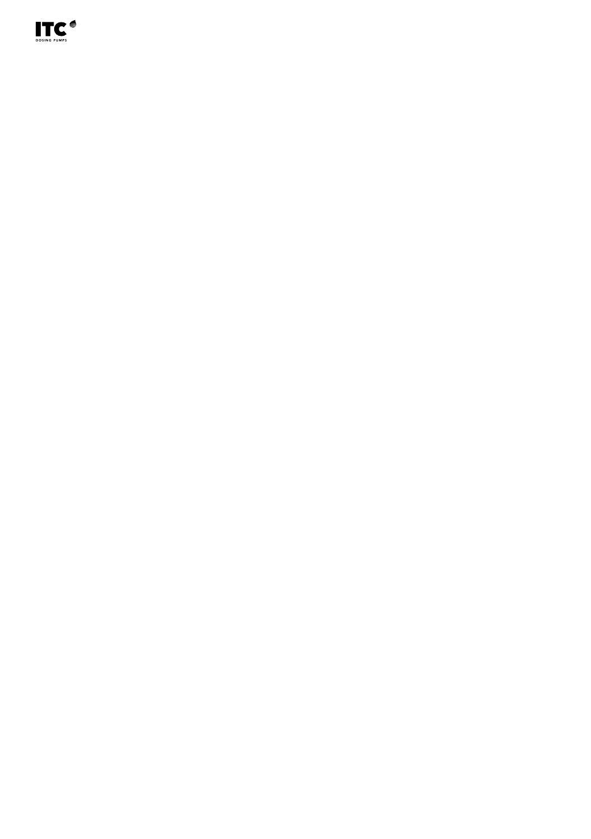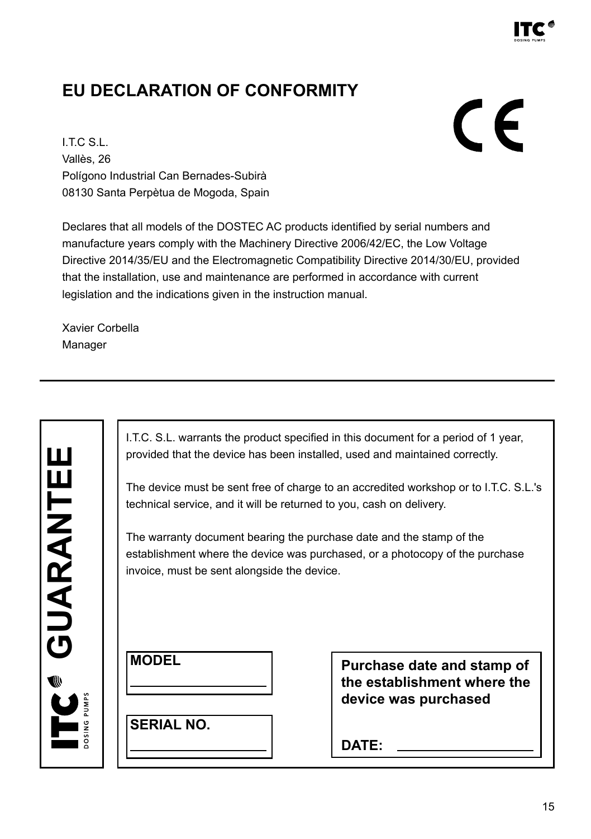

# <span id="page-14-0"></span>**EU DECLARATION OF CONFORMITY**

# $\epsilon$

I.T.C S.L. Vallès, 26 Polígono Industrial Can Bernades-Subirà 08130 Santa Perpètua de Mogoda, Spain

Declares that all models of the DOSTEC AC products identified by serial numbers and manufacture years comply with the Machinery Directive 2006/42/EC, the Low Voltage Directive 2014/35/EU and the Electromagnetic Compatibility Directive 2014/30/EU, provided that the installation, use and maintenance are performed in accordance with current legislation and the indications given in the instruction manual.

Xavier Corbella Manager

| W     |
|-------|
|       |
|       |
| OS NG |
|       |

I.T.C. S.L. warrants the product specified in this document for a period of 1 year, provided that the device has been installed, used and maintained correctly.

The device must be sent free of charge to an accredited workshop or to I.T.C. S.L.'s technical service, and it will be returned to you, cash on delivery.

The warranty document bearing the purchase date and the stamp of the establishment where the device was purchased, or a photocopy of the purchase invoice, must be sent alongside the device.

**MODEL**

**SERIAL NO.**

**Purchase date and stamp of the establishment where the device was purchased**

**DATE:**